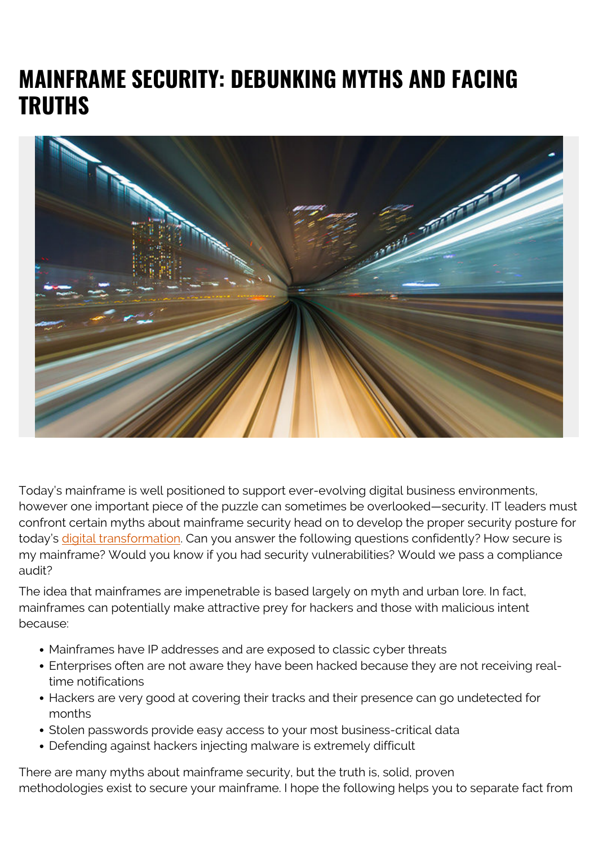## **MAINFRAME SECURITY: DEBUNKING MYTHS AND FACING TRUTHS**



Today's mainframe is well positioned to support ever-evolving digital business environments, however one important piece of the puzzle can sometimes be overlooked—security. IT leaders must confront certain myths about mainframe security head on to develop the proper security posture for today's [digital transformation.](https://blogs.bmc.com/blogs/what-is-digital-transformation/) Can you answer the following questions confidently? How secure is my mainframe? Would you know if you had security vulnerabilities? Would we pass a compliance audit?

The idea that mainframes are impenetrable is based largely on myth and urban lore. In fact, mainframes can potentially make attractive prey for hackers and those with malicious intent because:

- Mainframes have IP addresses and are exposed to classic cyber threats
- Enterprises often are not aware they have been hacked because they are not receiving realtime notifications
- Hackers are very good at covering their tracks and their presence can go undetected for months
- Stolen passwords provide easy access to your most business-critical data
- Defending against hackers injecting malware is extremely difficult

There are many myths about mainframe security, but the truth is, solid, proven methodologies exist to secure your mainframe. I hope the following helps you to separate fact from